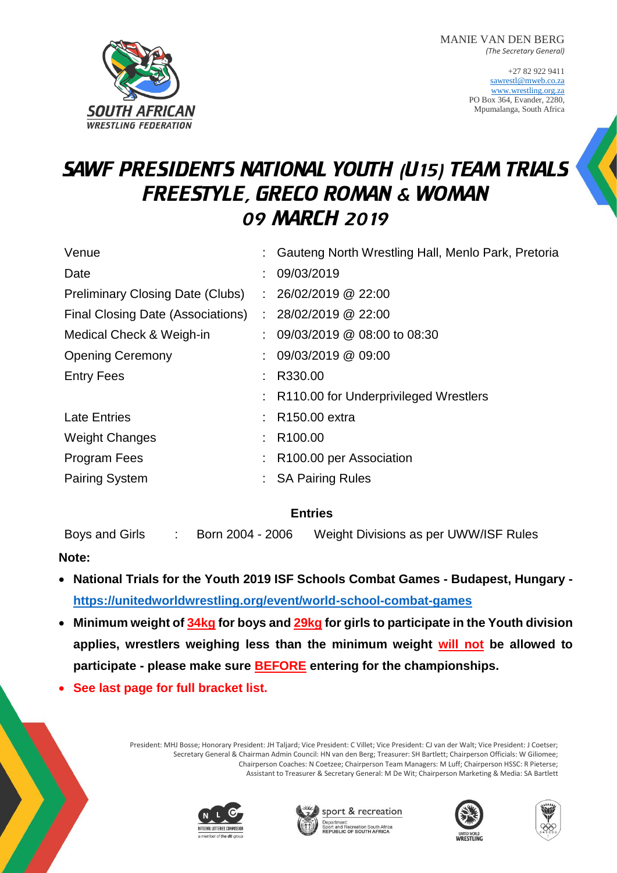MANIE VAN DEN BERG *(The Secretary General)*

> +27 82 922 9411 [sawrestl@mweb.co.za](mailto:sawrestl@mweb.co.za) [www.wrestling.org.za](http://www.wrestling.org.za/) PO Box 364, Evander, 2280, Mpumalanga, South Africa



# SAWF PRESIDENTS NATIONAL YOUTH (U15) TEAM TRIALS FREESTYLE, GRECO ROMAN & WOMAN 09 MARCH 2019

| Venue                                    | Gauteng North Wrestling Hall, Menlo Park, Pretoria |  |
|------------------------------------------|----------------------------------------------------|--|
| Date                                     | 09/03/2019                                         |  |
| <b>Preliminary Closing Date (Clubs)</b>  | : 26/02/2019 @ 22:00                               |  |
| <b>Final Closing Date (Associations)</b> | : 28/02/2019 @ 22:00                               |  |
| Medical Check & Weigh-in                 | $\therefore$ 09/03/2019 @ 08:00 to 08:30           |  |
| <b>Opening Ceremony</b>                  | : 09/03/2019 @ 09:00                               |  |
| <b>Entry Fees</b>                        | R330.00                                            |  |
|                                          | : R110.00 for Underprivileged Wrestlers            |  |
| <b>Late Entries</b>                      | R150.00 extra                                      |  |
| <b>Weight Changes</b>                    | R <sub>100.00</sub>                                |  |
| Program Fees                             | R100.00 per Association                            |  |
| <b>Pairing System</b>                    | <b>SA Pairing Rules</b>                            |  |
|                                          |                                                    |  |

## **Entries**

Boys and Girls : Born 2004 - 2006 Weight Divisions as per UWW/ISF Rules

## **Note:**

- **National Trials for the Youth 2019 ISF Schools Combat Games - Budapest, Hungary <https://unitedworldwrestling.org/event/world-school-combat-games>**
- **Minimum weight of 34kg for boys and 29kg for girls to participate in the Youth division applies, wrestlers weighing less than the minimum weight will not be allowed to participate - please make sure BEFORE entering for the championships.**
- **See last page for full bracket list.**

President: MHJ Bosse; Honorary President: JH Taljard; Vice President: C Villet; Vice President: CJ van der Walt; Vice President: J Coetser; Secretary General & Chairman Admin Council: HN van den Berg; Treasurer: SH Bartlett; Chairperson Officials: W Giliomee; Chairperson Coaches: N Coetzee; Chairperson Team Managers: M Luff; Chairperson HSSC: R Pieterse; Assistant to Treasurer & Secretary General: M De Wit; Chairperson Marketing & Media: SA Bartlett







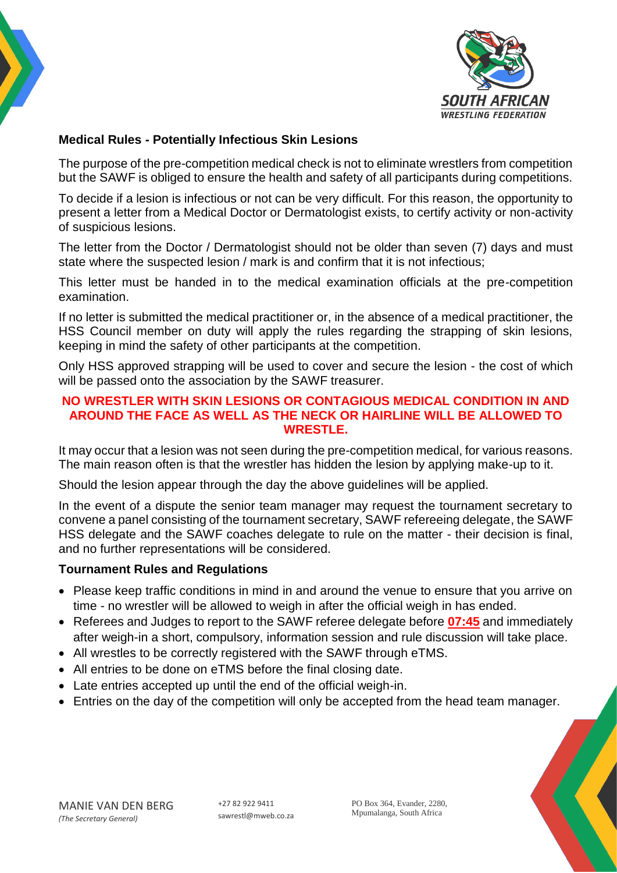



# **Medical Rules - Potentially Infectious Skin Lesions**

The purpose of the pre-competition medical check is not to eliminate wrestlers from competition but the SAWF is obliged to ensure the health and safety of all participants during competitions.

To decide if a lesion is infectious or not can be very difficult. For this reason, the opportunity to present a letter from a Medical Doctor or Dermatologist exists, to certify activity or non-activity of suspicious lesions.

The letter from the Doctor / Dermatologist should not be older than seven (7) days and must state where the suspected lesion / mark is and confirm that it is not infectious;

This letter must be handed in to the medical examination officials at the pre-competition examination.

If no letter is submitted the medical practitioner or, in the absence of a medical practitioner, the HSS Council member on duty will apply the rules regarding the strapping of skin lesions, keeping in mind the safety of other participants at the competition.

Only HSS approved strapping will be used to cover and secure the lesion - the cost of which will be passed onto the association by the SAWF treasurer.

#### **NO WRESTLER WITH SKIN LESIONS OR CONTAGIOUS MEDICAL CONDITION IN AND AROUND THE FACE AS WELL AS THE NECK OR HAIRLINE WILL BE ALLOWED TO WRESTLE.**

It may occur that a lesion was not seen during the pre-competition medical, for various reasons. The main reason often is that the wrestler has hidden the lesion by applying make-up to it.

Should the lesion appear through the day the above guidelines will be applied.

In the event of a dispute the senior team manager may request the tournament secretary to convene a panel consisting of the tournament secretary, SAWF refereeing delegate, the SAWF HSS delegate and the SAWF coaches delegate to rule on the matter - their decision is final, and no further representations will be considered.

### **Tournament Rules and Regulations**

- Please keep traffic conditions in mind in and around the venue to ensure that you arrive on time - no wrestler will be allowed to weigh in after the official weigh in has ended.
- Referees and Judges to report to the SAWF referee delegate before **07:45** and immediately after weigh-in a short, compulsory, information session and rule discussion will take place.
- All wrestles to be correctly registered with the SAWF through eTMS.
- All entries to be done on eTMS before the final closing date.
- Late entries accepted up until the end of the official weigh-in.
- Entries on the day of the competition will only be accepted from the head team manager.



PO Box 364, Evander, 2280, Mpumalanga, South Africa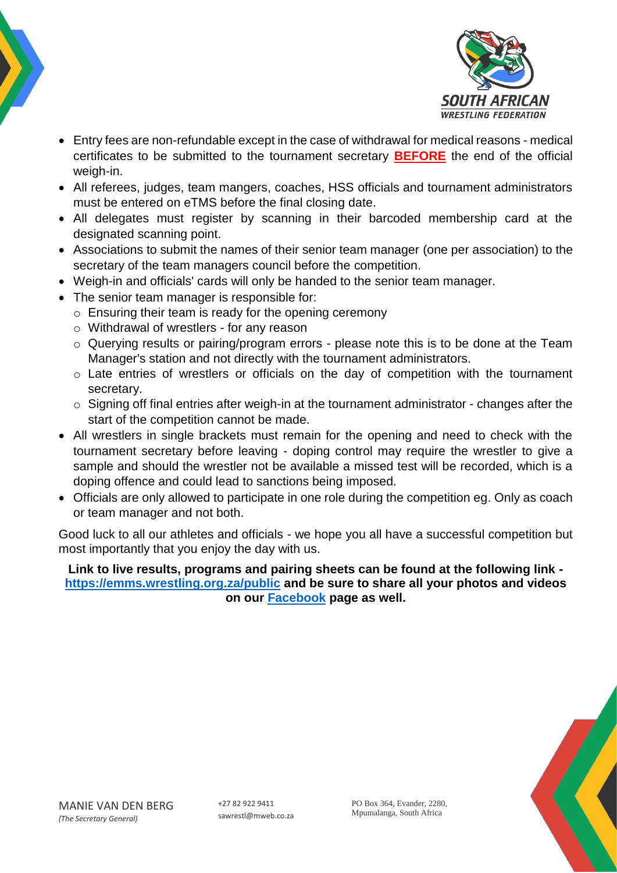



- Entry fees are non-refundable except in the case of withdrawal for medical reasons medical certificates to be submitted to the tournament secretary **BEFORE** the end of the official weigh-in.
- All referees, judges, team mangers, coaches, HSS officials and tournament administrators must be entered on eTMS before the final closing date.
- All delegates must register by scanning in their barcoded membership card at the designated scanning point.
- Associations to submit the names of their senior team manager (one per association) to the secretary of the team managers council before the competition.
- Weigh-in and officials' cards will only be handed to the senior team manager.
- The senior team manager is responsible for:
	- o Ensuring their team is ready for the opening ceremony
	- o Withdrawal of wrestlers for any reason
	- o Querying results or pairing/program errors please note this is to be done at the Team Manager's station and not directly with the tournament administrators.
	- o Late entries of wrestlers or officials on the day of competition with the tournament secretary.
	- o Signing off final entries after weigh-in at the tournament administrator changes after the start of the competition cannot be made.
- All wrestlers in single brackets must remain for the opening and need to check with the tournament secretary before leaving - doping control may require the wrestler to give a sample and should the wrestler not be available a missed test will be recorded, which is a doping offence and could lead to sanctions being imposed.
- Officials are only allowed to participate in one role during the competition eg. Only as coach or team manager and not both.

Good luck to all our athletes and officials - we hope you all have a successful competition but most importantly that you enjoy the day with us.

**Link to live results, programs and pairing sheets can be found at the following link <https://emms.wrestling.org.za/public> and be sure to share all your photos and videos on our [Facebook](https://www.facebook.com/WrestingSA/) page as well.**